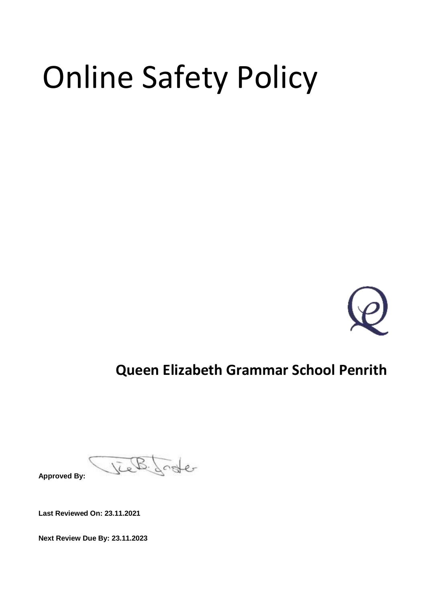# Online Safety Policy



# **Queen Elizabeth Grammar School Penrith**

B. Joster **Approved By:**

**Last Reviewed On: 23.11.2021**

**Next Review Due By: 23.11.2023**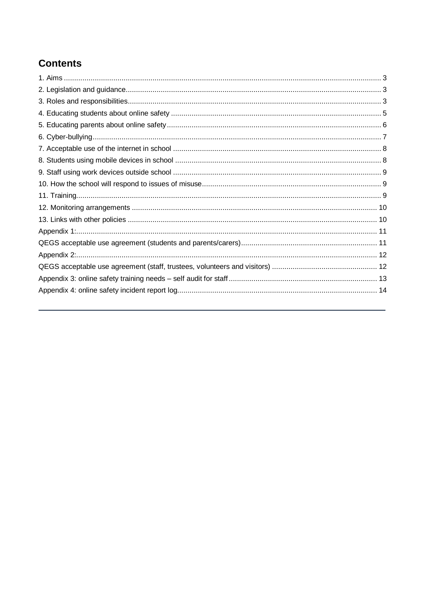# **Contents**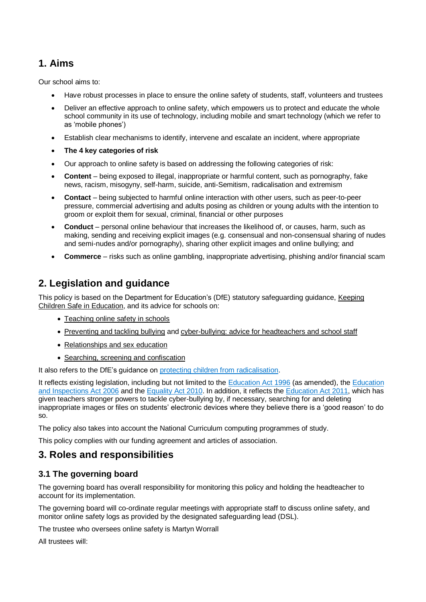# <span id="page-2-0"></span>**1. Aims**

Our school aims to:

- Have robust processes in place to ensure the online safety of students, staff, volunteers and trustees
- Deliver an effective approach to online safety, which empowers us to protect and educate the whole school community in its use of technology, including mobile and smart technology (which we refer to as 'mobile phones')
- Establish clear mechanisms to identify, intervene and escalate an incident, where appropriate
- **The 4 key categories of risk**
- Our approach to online safety is based on addressing the following categories of risk:
- **Content** being exposed to illegal, inappropriate or harmful content, such as pornography, fake news, racism, misogyny, self-harm, suicide, anti-Semitism, radicalisation and extremism
- **Contact** being subjected to harmful online interaction with other users, such as peer-to-peer pressure, commercial advertising and adults posing as children or young adults with the intention to groom or exploit them for sexual, criminal, financial or other purposes
- **Conduct** personal online behaviour that increases the likelihood of, or causes, harm, such as making, sending and receiving explicit images (e.g. consensual and non-consensual sharing of nudes and semi-nudes and/or pornography), sharing other explicit images and online bullying; and
- **Commerce** risks such as online gambling, inappropriate advertising, phishing and/or financial scam

# <span id="page-2-1"></span>**2. Legislation and guidance**

This policy is based on the Department for Education's (DfE) statutory safeguarding guidance, [Keeping](https://www.gov.uk/government/publications/keeping-children-safe-in-education--2)  [Children Safe in Education,](https://www.gov.uk/government/publications/keeping-children-safe-in-education--2) and its advice for schools on:

- [Teaching online safety in schools](https://www.gov.uk/government/publications/teaching-online-safety-in-schools)
- [Preventing and tackling bullying](https://www.gov.uk/government/publications/preventing-and-tackling-bullying) and [cyber-bullying: advice for headteachers and school staff](https://www.gov.uk/government/publications/preventing-and-tackling-bullying)
- [Relationships and sex education](https://www.gov.uk/government/publications/relationships-education-relationships-and-sex-education-rse-and-health-education)
- [Searching, screening and confiscation](https://www.gov.uk/government/publications/searching-screening-and-confiscation)

It also refers to the DfE's guidance on [protecting children from radicalisation.](https://www.gov.uk/government/publications/protecting-children-from-radicalisation-the-prevent-duty)

It reflects existing legislation, including but not limited to the [Education Act 1996](https://www.legislation.gov.uk/ukpga/1996/56/contents) (as amended), the [Education](https://www.legislation.gov.uk/ukpga/2006/40/contents)  [and Inspections Act 2006](https://www.legislation.gov.uk/ukpga/2006/40/contents) and the [Equality Act 2010.](https://www.legislation.gov.uk/ukpga/2010/15/contents) In addition, it reflects the [Education Act 2011,](http://www.legislation.gov.uk/ukpga/2011/21/contents/enacted) which has given teachers stronger powers to tackle cyber-bullying by, if necessary, searching for and deleting inappropriate images or files on students' electronic devices where they believe there is a 'good reason' to do so.

The policy also takes into account the National Curriculum computing programmes of study.

This policy complies with our funding agreement and articles of association.

# <span id="page-2-2"></span>**3. Roles and responsibilities**

## **3.1 The governing board**

The governing board has overall responsibility for monitoring this policy and holding the headteacher to account for its implementation.

The governing board will co-ordinate regular meetings with appropriate staff to discuss online safety, and monitor online safety logs as provided by the designated safeguarding lead (DSL).

The trustee who oversees online safety is Martyn Worrall

All trustees will: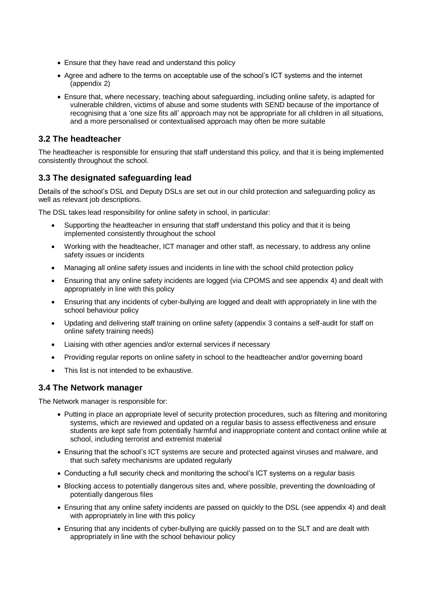- Ensure that they have read and understand this policy
- Agree and adhere to the terms on acceptable use of the school's ICT systems and the internet (appendix 2)
- Ensure that, where necessary, teaching about safeguarding, including online safety, is adapted for vulnerable children, victims of abuse and some students with SEND because of the importance of recognising that a 'one size fits all' approach may not be appropriate for all children in all situations, and a more personalised or contextualised approach may often be more suitable

#### **3.2 The headteacher**

The headteacher is responsible for ensuring that staff understand this policy, and that it is being implemented consistently throughout the school.

## **3.3 The designated safeguarding lead**

Details of the school's DSL and Deputy DSLs are set out in our child protection and safeguarding policy as well as relevant job descriptions.

The DSL takes lead responsibility for online safety in school, in particular:

- Supporting the headteacher in ensuring that staff understand this policy and that it is being implemented consistently throughout the school
- Working with the headteacher, ICT manager and other staff, as necessary, to address any online safety issues or incidents
- Managing all online safety issues and incidents in line with the school child protection policy
- Ensuring that any online safety incidents are logged (via CPOMS and see appendix 4) and dealt with appropriately in line with this policy
- Ensuring that any incidents of cyber-bullying are logged and dealt with appropriately in line with the school behaviour policy
- Updating and delivering staff training on online safety (appendix 3 contains a self-audit for staff on online safety training needs)
- Liaising with other agencies and/or external services if necessary
- Providing regular reports on online safety in school to the headteacher and/or governing board
- This list is not intended to be exhaustive.

#### **3.4 The Network manager**

The Network manager is responsible for:

- Putting in place an appropriate level of security protection procedures, such as filtering and monitoring systems, which are reviewed and updated on a regular basis to assess effectiveness and ensure students are kept safe from potentially harmful and inappropriate content and contact online while at school, including terrorist and extremist material
- Ensuring that the school's ICT systems are secure and protected against viruses and malware, and that such safety mechanisms are updated regularly
- Conducting a full security check and monitoring the school's ICT systems on a regular basis
- Blocking access to potentially dangerous sites and, where possible, preventing the downloading of potentially dangerous files
- Ensuring that any online safety incidents are passed on quickly to the DSL (see appendix 4) and dealt with appropriately in line with this policy
- Ensuring that any incidents of cyber-bullying are quickly passed on to the SLT and are dealt with appropriately in line with the school behaviour policy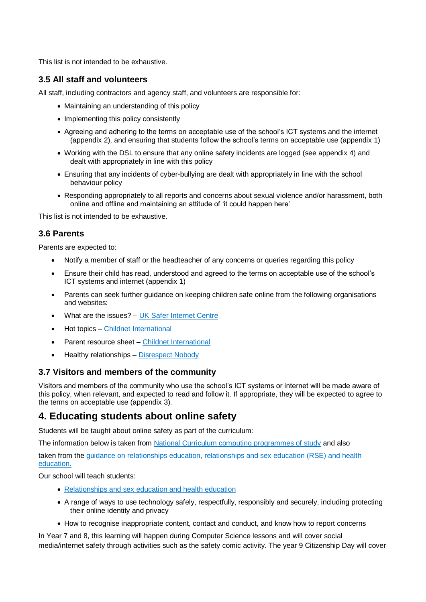This list is not intended to be exhaustive.

## **3.5 All staff and volunteers**

All staff, including contractors and agency staff, and volunteers are responsible for:

- Maintaining an understanding of this policy
- Implementing this policy consistently
- Agreeing and adhering to the terms on acceptable use of the school's ICT systems and the internet (appendix 2), and ensuring that students follow the school's terms on acceptable use (appendix 1)
- Working with the DSL to ensure that any online safety incidents are logged (see appendix 4) and dealt with appropriately in line with this policy
- Ensuring that any incidents of cyber-bullying are dealt with appropriately in line with the school behaviour policy
- Responding appropriately to all reports and concerns about sexual violence and/or harassment, both online and offline and maintaining an attitude of 'it could happen here'

This list is not intended to be exhaustive.

# **3.6 Parents**

Parents are expected to:

- Notify a member of staff or the headteacher of any concerns or queries regarding this policy
- Ensure their child has read, understood and agreed to the terms on acceptable use of the school's ICT systems and internet (appendix 1)
- Parents can seek further guidance on keeping children safe online from the following organisations and websites:
- What are the issues? [UK Safer Internet Centre](https://www.saferinternet.org.uk/advice-centre/parents-and-carers/what-are-issues)
- Hot topics [Childnet International](http://www.childnet.com/parents-and-carers/hot-topics)
- Parent resource sheet [Childnet International](https://www.childnet.com/resources/parents-and-carers-resource-sheet)
- Healthy relationships [Disrespect Nobody](https://www.disrespectnobody.co.uk/)

#### **3.7 Visitors and members of the community**

Visitors and members of the community who use the school's ICT systems or internet will be made aware of this policy, when relevant, and expected to read and follow it. If appropriate, they will be expected to agree to the terms on acceptable use (appendix 3).

# <span id="page-4-0"></span>**4. Educating students about online safety**

Students will be taught about online safety as part of the curriculum:

The information below is taken from [National Curriculum computing programmes of study](https://www.gov.uk/government/publications/national-curriculum-in-england-computing-programmes-of-study/national-curriculum-in-england-computing-programmes-of-study) and also

taken from the [guidance on relationships education, relationships and sex education \(RSE\) and health](https://www.gov.uk/government/publications/relationships-education-relationships-and-sex-education-rse-and-health-education)  [education.](https://www.gov.uk/government/publications/relationships-education-relationships-and-sex-education-rse-and-health-education)

Our school will teach students:

- [Relationships and sex education and health education](https://schoolleaders.thekeysupport.com/uid/66a1d83e-2fb9-411e-91f1-fe52a09d16d1/)
- A range of ways to use technology safely, respectfully, responsibly and securely, including protecting their online identity and privacy
- How to recognise inappropriate content, contact and conduct, and know how to report concerns

In Year 7 and 8, this learning will happen during Computer Science lessons and will cover social media/internet safety through activities such as the safety comic activity. The year 9 Citizenship Day will cover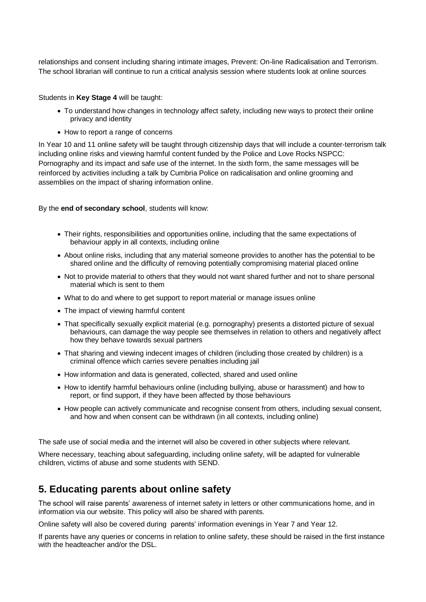relationships and consent including sharing intimate images, Prevent: On-line Radicalisation and Terrorism. The school librarian will continue to run a critical analysis session where students look at online sources

Students in **Key Stage 4** will be taught:

- To understand how changes in technology affect safety, including new ways to protect their online privacy and identity
- How to report a range of concerns

In Year 10 and 11 online safety will be taught through citizenship days that will include a counter-terrorism talk including online risks and viewing harmful content funded by the Police and Love Rocks NSPCC: Pornography and its impact and safe use of the internet. In the sixth form, the same messages will be reinforced by activities including a talk by Cumbria Police on radicalisation and online grooming and assemblies on the impact of sharing information online.

By the **end of secondary school**, students will know:

- Their rights, responsibilities and opportunities online, including that the same expectations of behaviour apply in all contexts, including online
- About online risks, including that any material someone provides to another has the potential to be shared online and the difficulty of removing potentially compromising material placed online
- Not to provide material to others that they would not want shared further and not to share personal material which is sent to them
- What to do and where to get support to report material or manage issues online
- The impact of viewing harmful content
- That specifically sexually explicit material (e.g. pornography) presents a distorted picture of sexual behaviours, can damage the way people see themselves in relation to others and negatively affect how they behave towards sexual partners
- That sharing and viewing indecent images of children (including those created by children) is a criminal offence which carries severe penalties including jail
- How information and data is generated, collected, shared and used online
- How to identify harmful behaviours online (including bullying, abuse or harassment) and how to report, or find support, if they have been affected by those behaviours
- How people can actively communicate and recognise consent from others, including sexual consent, and how and when consent can be withdrawn (in all contexts, including online)

The safe use of social media and the internet will also be covered in other subjects where relevant.

Where necessary, teaching about safeguarding, including online safety, will be adapted for vulnerable children, victims of abuse and some students with SEND.

# <span id="page-5-0"></span>**5. Educating parents about online safety**

The school will raise parents' awareness of internet safety in letters or other communications home, and in information via our website. This policy will also be shared with parents.

Online safety will also be covered during parents' information evenings in Year 7 and Year 12.

If parents have any queries or concerns in relation to online safety, these should be raised in the first instance with the headteacher and/or the DSL.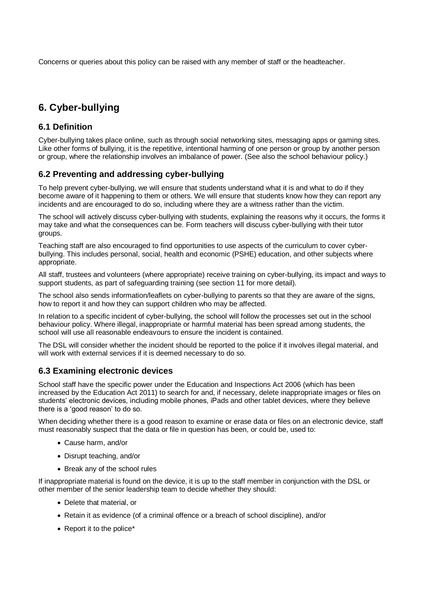Concerns or queries about this policy can be raised with any member of staff or the headteacher.

# <span id="page-6-0"></span>**6. Cyber-bullying**

## **6.1 Definition**

Cyber-bullying takes place online, such as through social networking sites, messaging apps or gaming sites. Like other forms of bullying, it is the repetitive, intentional harming of one person or group by another person or group, where the relationship involves an imbalance of power. (See also the school behaviour policy.)

# **6.2 Preventing and addressing cyber-bullying**

To help prevent cyber-bullying, we will ensure that students understand what it is and what to do if they become aware of it happening to them or others. We will ensure that students know how they can report any incidents and are encouraged to do so, including where they are a witness rather than the victim.

The school will actively discuss cyber-bullying with students, explaining the reasons why it occurs, the forms it may take and what the consequences can be. Form teachers will discuss cyber-bullying with their tutor groups.

Teaching staff are also encouraged to find opportunities to use aspects of the curriculum to cover cyberbullying. This includes personal, social, health and economic (PSHE) education, and other subjects where appropriate.

All staff, trustees and volunteers (where appropriate) receive training on cyber-bullying, its impact and ways to support students, as part of safeguarding training (see section 11 for more detail).

The school also sends information/leaflets on cyber-bullying to parents so that they are aware of the signs, how to report it and how they can support children who may be affected.

In relation to a specific incident of cyber-bullying, the school will follow the processes set out in the school behaviour policy. Where illegal, inappropriate or harmful material has been spread among students, the school will use all reasonable endeavours to ensure the incident is contained.

The DSL will consider whether the incident should be reported to the police if it involves illegal material, and will work with external services if it is deemed necessary to do so.

# **6.3 Examining electronic devices**

School staff have the specific power under the Education and Inspections Act 2006 (which has been increased by the Education Act 2011) to search for and, if necessary, delete inappropriate images or files on students' electronic devices, including mobile phones, iPads and other tablet devices, where they believe there is a 'good reason' to do so.

When deciding whether there is a good reason to examine or erase data or files on an electronic device, staff must reasonably suspect that the data or file in question has been, or could be, used to:

- Cause harm, and/or
- Disrupt teaching, and/or
- Break any of the school rules

If inappropriate material is found on the device, it is up to the staff member in conjunction with the DSL or other member of the senior leadership team to decide whether they should:

- Delete that material, or
- Retain it as evidence (of a criminal offence or a breach of school discipline), and/or
- Report it to the police\*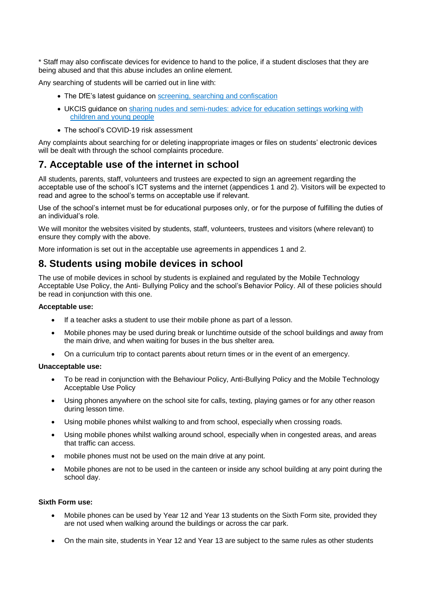\* Staff may also confiscate devices for evidence to hand to the police, if a student discloses that they are being abused and that this abuse includes an online element.

Any searching of students will be carried out in line with:

- The DfE's latest guidance on [screening, searching and confiscation](https://www.gov.uk/government/publications/searching-screening-and-confiscation)
- UKCIS guidance on sharing nudes and semi-nudes: [advice for education settings working with](https://www.gov.uk/government/publications/sharing-nudes-and-semi-nudes-advice-for-education-settings-working-with-children-and-young-people)  [children and young people](https://www.gov.uk/government/publications/sharing-nudes-and-semi-nudes-advice-for-education-settings-working-with-children-and-young-people)
- The school's COVID-19 risk assessment

Any complaints about searching for or deleting inappropriate images or files on students' electronic devices will be dealt with through the school complaints procedure.

# <span id="page-7-0"></span>**7. Acceptable use of the internet in school**

All students, parents, staff, volunteers and trustees are expected to sign an agreement regarding the acceptable use of the school's ICT systems and the internet (appendices 1 and 2). Visitors will be expected to read and agree to the school's terms on acceptable use if relevant.

Use of the school's internet must be for educational purposes only, or for the purpose of fulfilling the duties of an individual's role.

We will monitor the websites visited by students, staff, volunteers, trustees and visitors (where relevant) to ensure they comply with the above.

More information is set out in the acceptable use agreements in appendices 1 and 2.

# <span id="page-7-1"></span>**8. Students using mobile devices in school**

The use of mobile devices in school by students is explained and regulated by the Mobile Technology Acceptable Use Policy, the Anti- Bullying Policy and the school's Behavior Policy. All of these policies should be read in conjunction with this one.

#### **Acceptable use:**

- If a teacher asks a student to use their mobile phone as part of a lesson.
- Mobile phones may be used during break or lunchtime outside of the school buildings and away from the main drive, and when waiting for buses in the bus shelter area.
- On a curriculum trip to contact parents about return times or in the event of an emergency.

#### **Unacceptable use:**

- To be read in conjunction with the Behaviour Policy, Anti-Bullying Policy and the Mobile Technology Acceptable Use Policy
- Using phones anywhere on the school site for calls, texting, playing games or for any other reason during lesson time.
- Using mobile phones whilst walking to and from school, especially when crossing roads.
- Using mobile phones whilst walking around school, especially when in congested areas, and areas that traffic can access.
- mobile phones must not be used on the main drive at any point.
- Mobile phones are not to be used in the canteen or inside any school building at any point during the school day.

#### **Sixth Form use:**

- Mobile phones can be used by Year 12 and Year 13 students on the Sixth Form site, provided they are not used when walking around the buildings or across the car park.
- On the main site, students in Year 12 and Year 13 are subject to the same rules as other students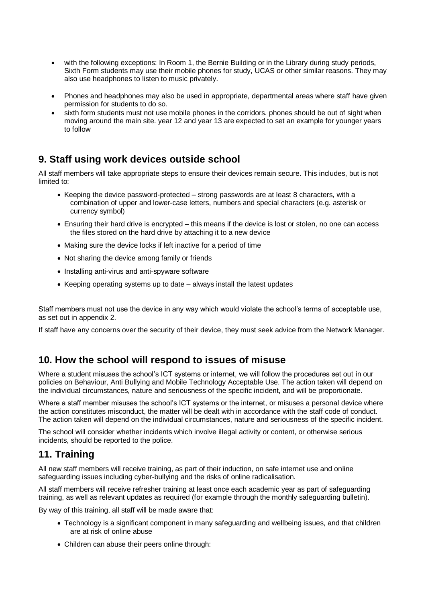- with the following exceptions: In Room 1, the Bernie Building or in the Library during study periods, Sixth Form students may use their mobile phones for study, UCAS or other similar reasons. They may also use headphones to listen to music privately.
- Phones and headphones may also be used in appropriate, departmental areas where staff have given permission for students to do so.
- sixth form students must not use mobile phones in the corridors. phones should be out of sight when moving around the main site. year 12 and year 13 are expected to set an example for younger years to follow

# <span id="page-8-0"></span>**9. Staff using work devices outside school**

All staff members will take appropriate steps to ensure their devices remain secure. This includes, but is not limited to:

- Keeping the device password-protected strong passwords are at least 8 characters, with a combination of upper and lower-case letters, numbers and special characters (e.g. asterisk or currency symbol)
- Ensuring their hard drive is encrypted this means if the device is lost or stolen, no one can access the files stored on the hard drive by attaching it to a new device
- Making sure the device locks if left inactive for a period of time
- Not sharing the device among family or friends
- Installing anti-virus and anti-spyware software
- Keeping operating systems up to date always install the latest updates

Staff members must not use the device in any way which would violate the school's terms of acceptable use, as set out in appendix 2.

If staff have any concerns over the security of their device, they must seek advice from the Network Manager.

# <span id="page-8-1"></span>**10. How the school will respond to issues of misuse**

Where a student misuses the school's ICT systems or internet, we will follow the procedures set out in our policies on Behaviour, Anti Bullying and Mobile Technology Acceptable Use. The action taken will depend on the individual circumstances, nature and seriousness of the specific incident, and will be proportionate.

Where a staff member misuses the school's ICT systems or the internet, or misuses a personal device where the action constitutes misconduct, the matter will be dealt with in accordance with the staff code of conduct. The action taken will depend on the individual circumstances, nature and seriousness of the specific incident.

The school will consider whether incidents which involve illegal activity or content, or otherwise serious incidents, should be reported to the police.

# <span id="page-8-2"></span>**11. Training**

All new staff members will receive training, as part of their induction, on safe internet use and online safeguarding issues including cyber-bullying and the risks of online radicalisation.

All staff members will receive refresher training at least once each academic year as part of safeguarding training, as well as relevant updates as required (for example through the monthly safeguarding bulletin).

By way of this training, all staff will be made aware that:

- Technology is a significant component in many safeguarding and wellbeing issues, and that children are at risk of online abuse
- Children can abuse their peers online through: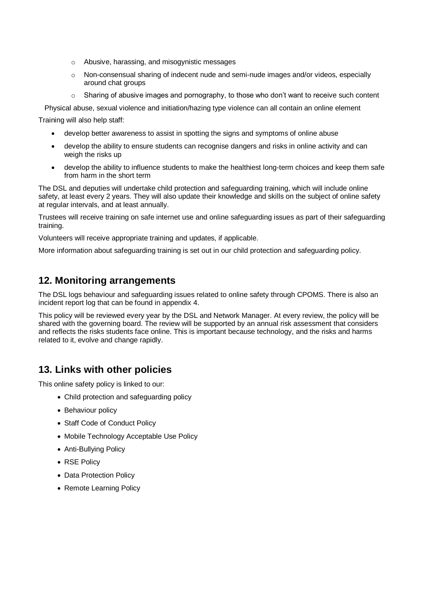- o Abusive, harassing, and misogynistic messages
- o Non-consensual sharing of indecent nude and semi-nude images and/or videos, especially around chat groups
- $\circ$  Sharing of abusive images and pornography, to those who don't want to receive such content

Physical abuse, sexual violence and initiation/hazing type violence can all contain an online element

Training will also help staff:

- develop better awareness to assist in spotting the signs and symptoms of online abuse
- develop the ability to ensure students can recognise dangers and risks in online activity and can weigh the risks up
- develop the ability to influence students to make the healthiest long-term choices and keep them safe from harm in the short term

The DSL and deputies will undertake child protection and safeguarding training, which will include online safety, at least every 2 years. They will also update their knowledge and skills on the subject of online safety at regular intervals, and at least annually.

Trustees will receive training on safe internet use and online safeguarding issues as part of their safeguarding training.

Volunteers will receive appropriate training and updates, if applicable.

More information about safeguarding training is set out in our child protection and safeguarding policy.

# <span id="page-9-0"></span>**12. Monitoring arrangements**

The DSL logs behaviour and safeguarding issues related to online safety through CPOMS. There is also an incident report log that can be found in appendix 4.

This policy will be reviewed every year by the DSL and Network Manager. At every review, the policy will be shared with the governing board. The review will be supported by an annual risk assessment that considers and reflects the risks students face online. This is important because technology, and the risks and harms related to it, evolve and change rapidly.

# <span id="page-9-1"></span>**13. Links with other policies**

This online safety policy is linked to our:

- Child protection and safeguarding policy
- Behaviour policy
- Staff Code of Conduct Policy
- Mobile Technology Acceptable Use Policy
- Anti-Bullying Policy
- RSE Policy
- Data Protection Policy
- Remote Learning Policy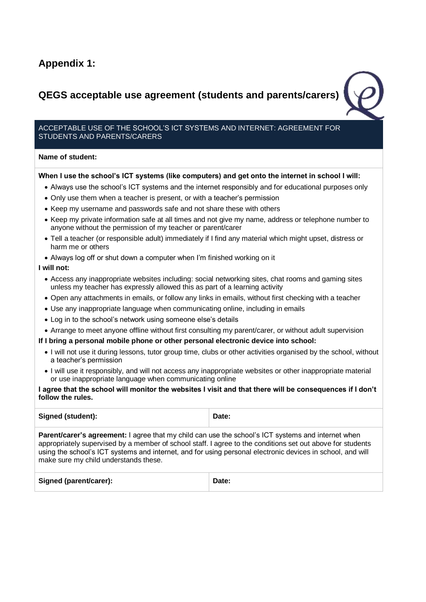# <span id="page-10-0"></span>**Appendix 1:**

# <span id="page-10-1"></span>**QEGS acceptable use agreement (students and parents/carers)**

#### ACCEPTABLE USE OF THE SCHOOL'S ICT SYSTEMS AND INTERNET: AGREEMENT FOR STUDENTS AND PARENTS/CARERS

#### **Name of student:**

#### **When I use the school's ICT systems (like computers) and get onto the internet in school I will:**

- Always use the school's ICT systems and the internet responsibly and for educational purposes only
- Only use them when a teacher is present, or with a teacher's permission
- Keep my username and passwords safe and not share these with others
- Keep my private information safe at all times and not give my name, address or telephone number to anyone without the permission of my teacher or parent/carer
- Tell a teacher (or responsible adult) immediately if I find any material which might upset, distress or harm me or others
- Always log off or shut down a computer when I'm finished working on it

#### **I will not:**

- Access any inappropriate websites including: social networking sites, chat rooms and gaming sites unless my teacher has expressly allowed this as part of a learning activity
- Open any attachments in emails, or follow any links in emails, without first checking with a teacher
- Use any inappropriate language when communicating online, including in emails
- Log in to the school's network using someone else's details
- Arrange to meet anyone offline without first consulting my parent/carer, or without adult supervision

#### **If I bring a personal mobile phone or other personal electronic device into school:**

- I will not use it during lessons, tutor group time, clubs or other activities organised by the school, without a teacher's permission
- I will use it responsibly, and will not access any inappropriate websites or other inappropriate material or use inappropriate language when communicating online

#### **I agree that the school will monitor the websites I visit and that there will be consequences if I don't follow the rules.**

| Signed (student):                                                                                                                                                                                                                                                                                                                                                              | Date: |  |  |  |  |  |
|--------------------------------------------------------------------------------------------------------------------------------------------------------------------------------------------------------------------------------------------------------------------------------------------------------------------------------------------------------------------------------|-------|--|--|--|--|--|
| <b>Parent/carer's agreement:</b> I agree that my child can use the school's ICT systems and internet when<br>appropriately supervised by a member of school staff. I agree to the conditions set out above for students<br>using the school's ICT systems and internet, and for using personal electronic devices in school, and will<br>make sure my child understands these. |       |  |  |  |  |  |
| Signed (parent/carer):                                                                                                                                                                                                                                                                                                                                                         | Date: |  |  |  |  |  |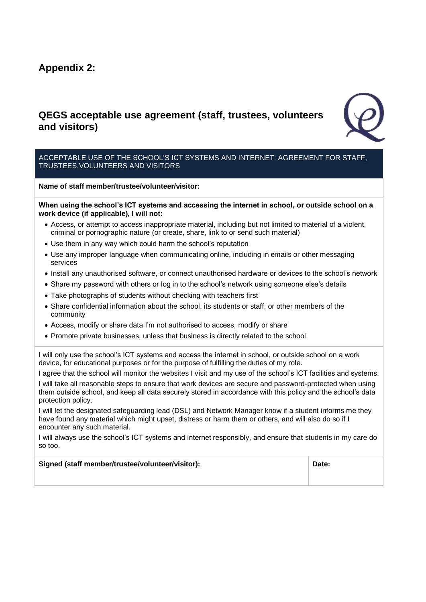# <span id="page-11-0"></span>**Appendix 2:**

# <span id="page-11-1"></span>**QEGS acceptable use agreement (staff, trustees, volunteers and visitors)**



#### ACCEPTABLE USE OF THE SCHOOL'S ICT SYSTEMS AND INTERNET: AGREEMENT FOR STAFF, TRUSTEES,VOLUNTEERS AND VISITORS

**Name of staff member/trustee/volunteer/visitor:**

**When using the school's ICT systems and accessing the internet in school, or outside school on a work device (if applicable), I will not:**

- Access, or attempt to access inappropriate material, including but not limited to material of a violent, criminal or pornographic nature (or create, share, link to or send such material)
- Use them in any way which could harm the school's reputation
- Use any improper language when communicating online, including in emails or other messaging services
- Install any unauthorised software, or connect unauthorised hardware or devices to the school's network
- Share my password with others or log in to the school's network using someone else's details
- Take photographs of students without checking with teachers first
- Share confidential information about the school, its students or staff, or other members of the community
- Access, modify or share data I'm not authorised to access, modify or share
- Promote private businesses, unless that business is directly related to the school

I will only use the school's ICT systems and access the internet in school, or outside school on a work device, for educational purposes or for the purpose of fulfilling the duties of my role.

I agree that the school will monitor the websites I visit and my use of the school's ICT facilities and systems.

I will take all reasonable steps to ensure that work devices are secure and password-protected when using them outside school, and keep all data securely stored in accordance with this policy and the school's data protection policy.

I will let the designated safeguarding lead (DSL) and Network Manager know if a student informs me they have found any material which might upset, distress or harm them or others, and will also do so if I encounter any such material.

I will always use the school's ICT systems and internet responsibly, and ensure that students in my care do so too.

| Signed (staff member/trustee/volunteer/visitor): | Date: |
|--------------------------------------------------|-------|
|                                                  |       |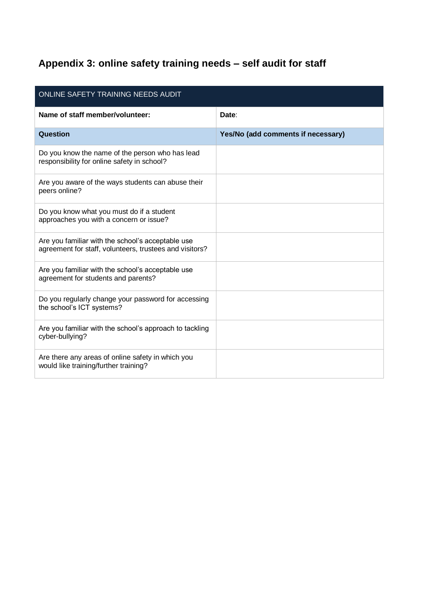# <span id="page-12-0"></span>**Appendix 3: online safety training needs – self audit for staff**

| ONLINE SAFETY TRAINING NEEDS AUDIT                                                                           |                                    |  |  |  |
|--------------------------------------------------------------------------------------------------------------|------------------------------------|--|--|--|
| Name of staff member/volunteer:                                                                              | Date:                              |  |  |  |
| Question                                                                                                     | Yes/No (add comments if necessary) |  |  |  |
| Do you know the name of the person who has lead<br>responsibility for online safety in school?               |                                    |  |  |  |
| Are you aware of the ways students can abuse their<br>peers online?                                          |                                    |  |  |  |
| Do you know what you must do if a student<br>approaches you with a concern or issue?                         |                                    |  |  |  |
| Are you familiar with the school's acceptable use<br>agreement for staff, volunteers, trustees and visitors? |                                    |  |  |  |
| Are you familiar with the school's acceptable use<br>agreement for students and parents?                     |                                    |  |  |  |
| Do you regularly change your password for accessing<br>the school's ICT systems?                             |                                    |  |  |  |
| Are you familiar with the school's approach to tackling<br>cyber-bullying?                                   |                                    |  |  |  |
| Are there any areas of online safety in which you<br>would like training/further training?                   |                                    |  |  |  |